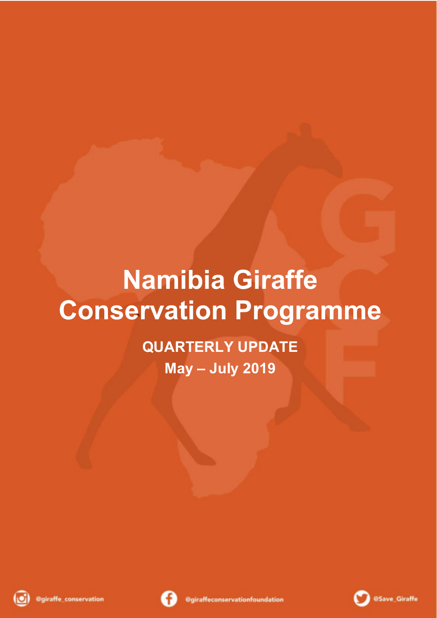## **Namibia Giraffe Conservation Programme**

**QUARTERLY UPDATE May – July 2019** 





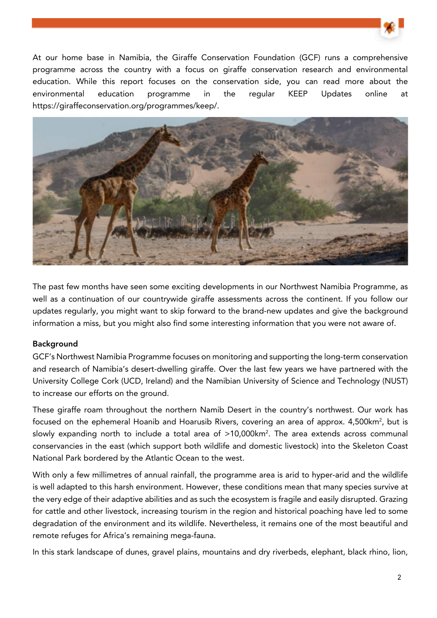

At our home base in Namibia, the Giraffe Conservation Foundation (GCF) runs a comprehensive programme across the country with a focus on giraffe conservation research and environmental education. While this report focuses on the conservation side, you can read more about the environmental education programme in the regular KEEP Updates online at https://giraffeconservation.org/programmes/keep/.



The past few months have seen some exciting developments in our Northwest Namibia Programme, as well as a continuation of our countrywide giraffe assessments across the continent. If you follow our updates regularly, you might want to skip forward to the brand-new updates and give the background information a miss, but you might also find some interesting information that you were not aware of.

## Background

GCF's Northwest Namibia Programme focuses on monitoring and supporting the long-term conservation and research of Namibia's desert-dwelling giraffe. Over the last few years we have partnered with the University College Cork (UCD, Ireland) and the Namibian University of Science and Technology (NUST) to increase our efforts on the ground.

These giraffe roam throughout the northern Namib Desert in the country's northwest. Our work has focused on the ephemeral Hoanib and Hoarusib Rivers, covering an area of approx. 4,500km<sup>2</sup>, but is slowly expanding north to include a total area of >10,000km<sup>2</sup>. The area extends across communal conservancies in the east (which support both wildlife and domestic livestock) into the Skeleton Coast National Park bordered by the Atlantic Ocean to the west.

With only a few millimetres of annual rainfall, the programme area is arid to hyper-arid and the wildlife is well adapted to this harsh environment. However, these conditions mean that many species survive at the very edge of their adaptive abilities and as such the ecosystem is fragile and easily disrupted. Grazing for cattle and other livestock, increasing tourism in the region and historical poaching have led to some degradation of the environment and its wildlife. Nevertheless, it remains one of the most beautiful and remote refuges for Africa's remaining mega-fauna.

In this stark landscape of dunes, gravel plains, mountains and dry riverbeds, elephant, black rhino, lion,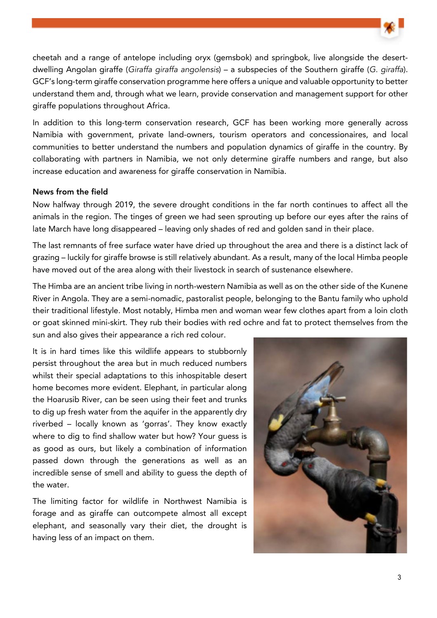

cheetah and a range of antelope including oryx (gemsbok) and springbok, live alongside the desertdwelling Angolan giraffe (Giraffa giraffa angolensis) – a subspecies of the Southern giraffe (G. giraffa). GCF's long-term giraffe conservation programme here offers a unique and valuable opportunity to better understand them and, through what we learn, provide conservation and management support for other giraffe populations throughout Africa.

In addition to this long-term conservation research, GCF has been working more generally across Namibia with government, private land-owners, tourism operators and concessionaires, and local communities to better understand the numbers and population dynamics of giraffe in the country. By collaborating with partners in Namibia, we not only determine giraffe numbers and range, but also increase education and awareness for giraffe conservation in Namibia.

## News from the field

Now halfway through 2019, the severe drought conditions in the far north continues to affect all the animals in the region. The tinges of green we had seen sprouting up before our eyes after the rains of late March have long disappeared – leaving only shades of red and golden sand in their place.

The last remnants of free surface water have dried up throughout the area and there is a distinct lack of grazing – luckily for giraffe browse is still relatively abundant. As a result, many of the local Himba people have moved out of the area along with their livestock in search of sustenance elsewhere.

The Himba are an ancient tribe living in north-western Namibia as well as on the other side of the Kunene River in Angola. They are a semi-nomadic, pastoralist people, belonging to the Bantu family who uphold their traditional lifestyle. Most notably, Himba men and woman wear few clothes apart from a loin cloth or goat skinned mini-skirt. They rub their bodies with red ochre and fat to protect themselves from the sun and also gives their appearance a rich red colour.

It is in hard times like this wildlife appears to stubbornly persist throughout the area but in much reduced numbers whilst their special adaptations to this inhospitable desert home becomes more evident. Elephant, in particular along the Hoarusib River, can be seen using their feet and trunks to dig up fresh water from the aquifer in the apparently dry riverbed – locally known as 'gorras'. They know exactly where to dig to find shallow water but how? Your guess is as good as ours, but likely a combination of information passed down through the generations as well as an incredible sense of smell and ability to guess the depth of the water.

The limiting factor for wildlife in Northwest Namibia is forage and as giraffe can outcompete almost all except elephant, and seasonally vary their diet, the drought is having less of an impact on them.

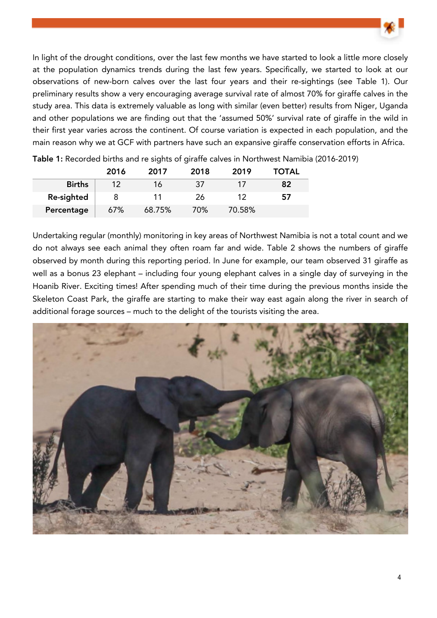

In light of the drought conditions, over the last few months we have started to look a little more closely at the population dynamics trends during the last few years. Specifically, we started to look at our observations of new-born calves over the last four years and their re-sightings (see Table 1). Our preliminary results show a very encouraging average survival rate of almost 70% for giraffe calves in the study area. This data is extremely valuable as long with similar (even better) results from Niger, Uganda and other populations we are finding out that the 'assumed 50%' survival rate of giraffe in the wild in their first year varies across the continent. Of course variation is expected in each population, and the main reason why we at GCF with partners have such an expansive giraffe conservation efforts in Africa.

|               | 2016    | 2017   | 2018 | 2019   | <b>TOTAL</b> |
|---------------|---------|--------|------|--------|--------------|
| <b>Births</b> | $12 \,$ | 16     | 37   |        | 82           |
| Re-sighted    |         |        | 26   |        | 57           |
| Percentage    | 67%     | 68.75% | 70%  | 70.58% |              |

Table 1: Recorded births and re sights of giraffe calves in Northwest Namibia (2016-2019)

Undertaking regular (monthly) monitoring in key areas of Northwest Namibia is not a total count and we do not always see each animal they often roam far and wide. Table 2 shows the numbers of giraffe observed by month during this reporting period. In June for example, our team observed 31 giraffe as well as a bonus 23 elephant – including four young elephant calves in a single day of surveying in the Hoanib River. Exciting times! After spending much of their time during the previous months inside the Skeleton Coast Park, the giraffe are starting to make their way east again along the river in search of additional forage sources – much to the delight of the tourists visiting the area.

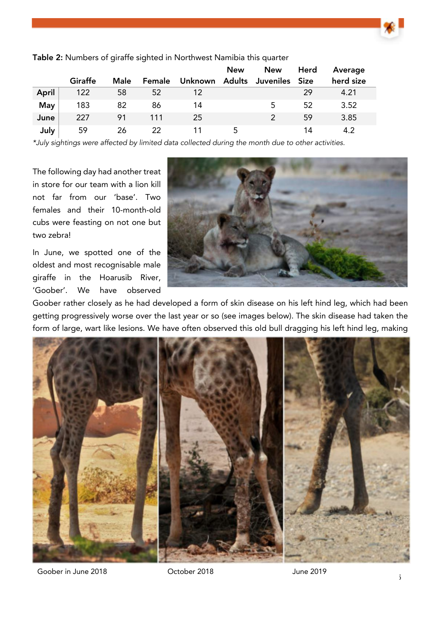

|            |         |             |        |         | <b>New</b> | <b>New</b> | Herd | Average   |  |
|------------|---------|-------------|--------|---------|------------|------------|------|-----------|--|
|            | Giraffe | <b>Male</b> | Female | Unknown | Adults     | Juveniles  | Size | herd size |  |
| April      | 122     | 58          | 52     | 12      |            |            | 29   | 4.21      |  |
| <b>May</b> | 183     | 82          | 86     | 14      |            | 5          | 52   | 3.52      |  |
| June       | 227     | 91          | 111    | 25      |            |            | 59   | 3.85      |  |
| July       | 59      | 26          | 22     |         | 5          |            | 14   | 4.2       |  |

Table 2: Numbers of giraffe sighted in Northwest Namibia this quarter

\*July sightings were affected by limited data collected during the month due to other activities.

The following day had another treat in store for our team with a lion kill not far from our 'base'. Two females and their 10-month-old cubs were feasting on not one but two zebra!

In June, we spotted one of the oldest and most recognisable male giraffe in the Hoarusib River, 'Goober'. We have observed



Goober rather closely as he had developed a form of skin disease on his left hind leg, which had been getting progressively worse over the last year or so (see images below). The skin disease had taken the form of large, wart like lesions. We have often observed this old bull dragging his left hind leg, making



Goober in June 2018 **Cooper 10 Cooper 2018** June 2019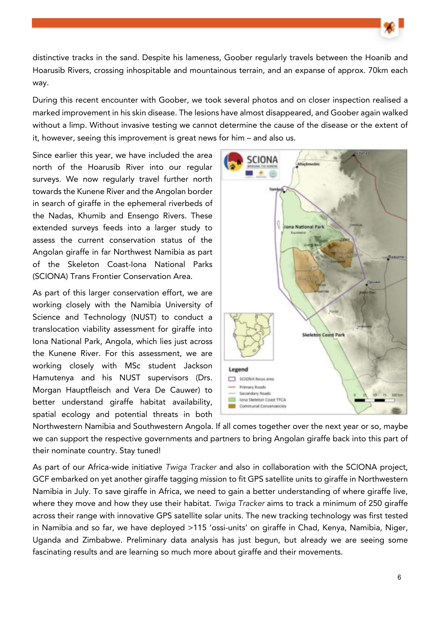distinctive tracks in the sand. Despite his lameness, Goober regularly travels between the Hoanib and Hoarusib Rivers, crossing inhospitable and mountainous terrain, and an expanse of approx. 70km each way.

During this recent encounter with Goober, we took several photos and on closer inspection realised a marked improvement in his skin disease. The lesions have almost disappeared, and Goober again walked without a limp. Without invasive testing we cannot determine the cause of the disease or the extent of it, however, seeing this improvement is great news for him – and also us.

Since earlier this year, we have included the area north of the Hoarusib River into our regular surveys. We now regularly travel further north towards the Kunene River and the Angolan border in search of giraffe in the ephemeral riverbeds of the Nadas, Khumib and Ensengo Rivers. These extended surveys feeds into a larger study to assess the current conservation status of the Angolan giraffe in far Northwest Namibia as part of the Skeleton Coast-Iona National Parks (SCIONA) Trans Frontier Conservation Area.

As part of this larger conservation effort, we are working closely with the Namibia University of Science and Technology (NUST) to conduct a translocation viability assessment for giraffe into Iona National Park, Angola, which lies just across the Kunene River. For this assessment, we are working closely with MSc student Jackson Hamutenya and his NUST supervisors (Drs. Morgan Hauptfleisch and Vera De Cauwer) to better understand giraffe habitat availability, spatial ecology and potential threats in both



Northwestern Namibia and Southwestern Angola. If all comes together over the next year or so, maybe we can support the respective governments and partners to bring Angolan giraffe back into this part of their nominate country. Stay tuned!

As part of our Africa-wide initiative Twiga Tracker and also in collaboration with the SCIONA project, GCF embarked on yet another giraffe tagging mission to fit GPS satellite units to giraffe in Northwestern Namibia in July. To save giraffe in Africa, we need to gain a better understanding of where giraffe live, where they move and how they use their habitat. Twiga Tracker aims to track a minimum of 250 giraffe across their range with innovative GPS satellite solar units. The new tracking technology was first tested in Namibia and so far, we have deployed >115 'ossi-units' on giraffe in Chad, Kenya, Namibia, Niger, Uganda and Zimbabwe. Preliminary data analysis has just begun, but already we are seeing some fascinating results and are learning so much more about giraffe and their movements.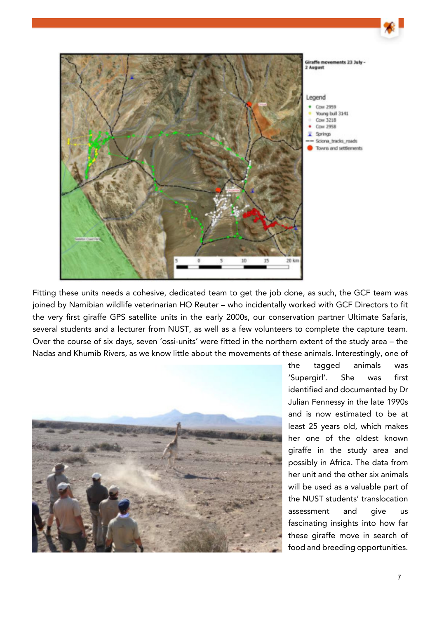

Fitting these units needs a cohesive, dedicated team to get the job done, as such, the GCF team was joined by Namibian wildlife veterinarian HO Reuter – who incidentally worked with GCF Directors to fit the very first giraffe GPS satellite units in the early 2000s, our conservation partner Ultimate Safaris, several students and a lecturer from NUST, as well as a few volunteers to complete the capture team. Over the course of six days, seven 'ossi-units' were fitted in the northern extent of the study area – the Nadas and Khumib Rivers, as we know little about the movements of these animals. Interestingly, one of



the tagged animals was 'Supergirl'. She was first identified and documented by Dr Julian Fennessy in the late 1990s and is now estimated to be at least 25 years old, which makes her one of the oldest known giraffe in the study area and possibly in Africa. The data from her unit and the other six animals will be used as a valuable part of the NUST students' translocation assessment and give us fascinating insights into how far these giraffe move in search of food and breeding opportunities.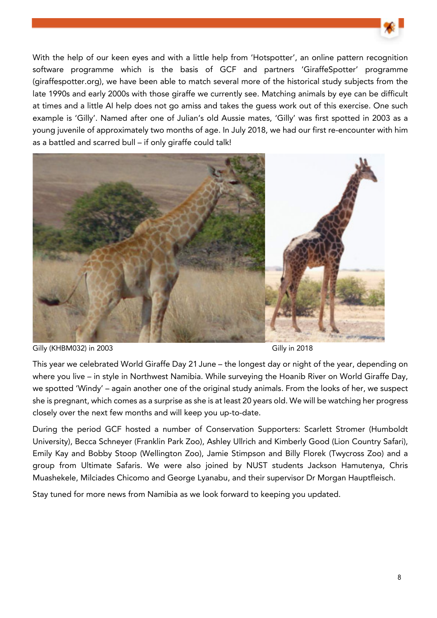

With the help of our keen eyes and with a little help from 'Hotspotter', an online pattern recognition software programme which is the basis of GCF and partners 'GiraffeSpotter' programme (giraffespotter.org), we have been able to match several more of the historical study subjects from the late 1990s and early 2000s with those giraffe we currently see. Matching animals by eye can be difficult at times and a little AI help does not go amiss and takes the guess work out of this exercise. One such example is 'Gilly'. Named after one of Julian's old Aussie mates, 'Gilly' was first spotted in 2003 as a young juvenile of approximately two months of age. In July 2018, we had our first re-encounter with him as a battled and scarred bull – if only giraffe could talk!



Gilly (KHBM032) in 2003 **Gilly in 2018** Gilly in 2018

This year we celebrated World Giraffe Day 21 June – the longest day or night of the year, depending on where you live – in style in Northwest Namibia. While surveying the Hoanib River on World Giraffe Day, we spotted 'Windy' – again another one of the original study animals. From the looks of her, we suspect she is pregnant, which comes as a surprise as she is at least 20 years old. We will be watching her progress closely over the next few months and will keep you up-to-date.

During the period GCF hosted a number of Conservation Supporters: Scarlett Stromer (Humboldt University), Becca Schneyer (Franklin Park Zoo), Ashley Ullrich and Kimberly Good (Lion Country Safari), Emily Kay and Bobby Stoop (Wellington Zoo), Jamie Stimpson and Billy Florek (Twycross Zoo) and a group from Ultimate Safaris. We were also joined by NUST students Jackson Hamutenya, Chris Muashekele, Milciades Chicomo and George Lyanabu, and their supervisor Dr Morgan Hauptfleisch.

Stay tuned for more news from Namibia as we look forward to keeping you updated.